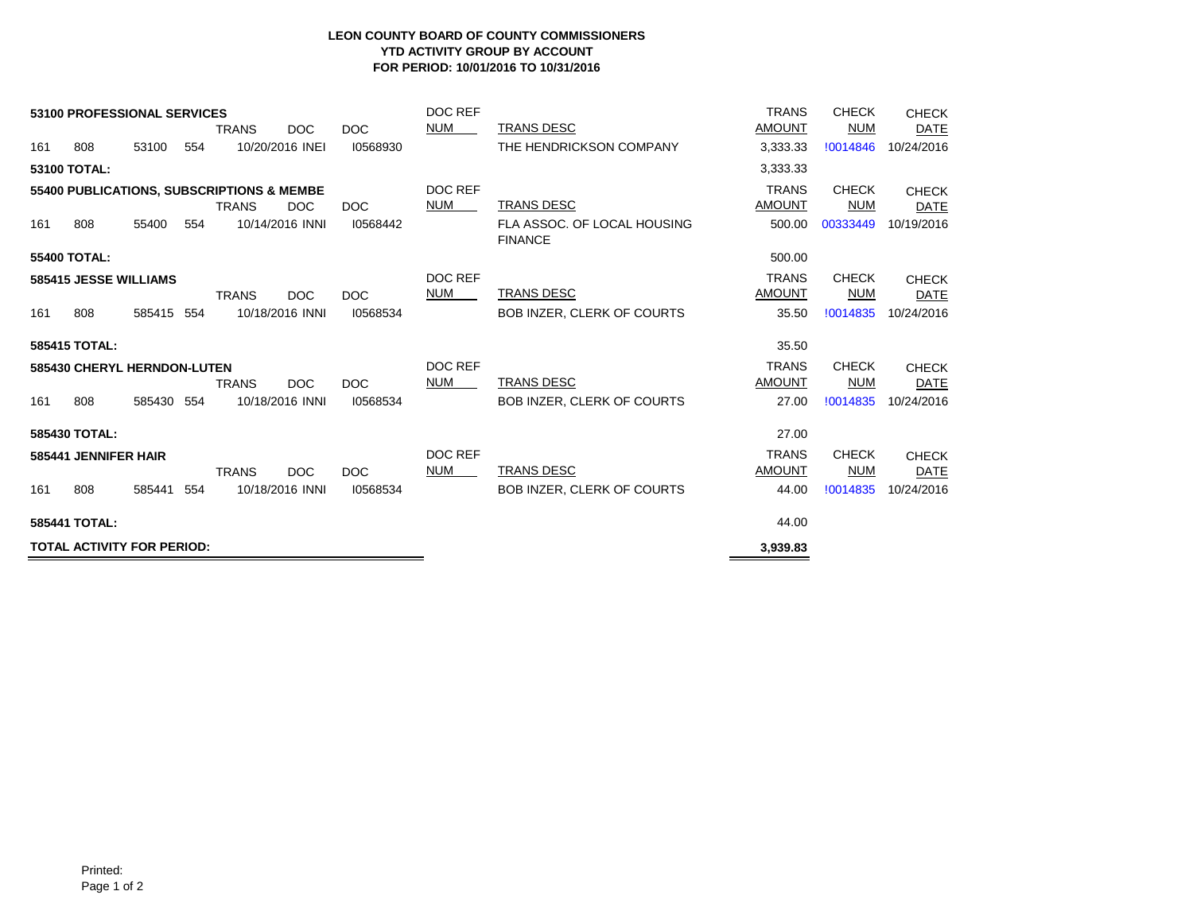## **LEON COUNTY BOARD OF COUNTY COMMISSIONERS YTD ACTIVITY GROUP BY ACCOUNT FOR PERIOD: 10/01/2016 TO 10/31/2016**

| 53100 PROFESSIONAL SERVICES<br><b>DOC</b><br><b>TRANS</b><br><b>DOC</b> |     |            |     |              |                  |            | DOC REF<br><b>NUM</b> | <b>TRANS DESC</b>                             | <b>TRANS</b><br><b>AMOUNT</b> | <b>CHECK</b><br><b>NUM</b> | <b>CHECK</b><br><b>DATE</b> |
|-------------------------------------------------------------------------|-----|------------|-----|--------------|------------------|------------|-----------------------|-----------------------------------------------|-------------------------------|----------------------------|-----------------------------|
| 161                                                                     | 808 | 53100      | 554 |              | 10/20/2016 INEI  | 10568930   |                       | THE HENDRICKSON COMPANY                       | 3,333.33                      | !0014846                   | 10/24/2016                  |
| 53100 TOTAL:                                                            |     |            |     |              |                  |            |                       |                                               | 3,333.33                      |                            |                             |
| 55400 PUBLICATIONS, SUBSCRIPTIONS & MEMBE                               |     |            |     |              |                  |            | DOC REF               |                                               | <b>TRANS</b>                  | <b>CHECK</b>               | <b>CHECK</b>                |
|                                                                         |     |            |     | <b>TRANS</b> | DOC              | DOC        | <b>NUM</b>            | TRANS DESC                                    | <b>AMOUNT</b>                 | <b>NUM</b>                 | <b>DATE</b>                 |
| 161                                                                     | 808 | 55400      | 554 |              | 10/14/2016 INNI  | 10568442   |                       | FLA ASSOC. OF LOCAL HOUSING<br><b>FINANCE</b> | 500.00                        | 00333449                   | 10/19/2016                  |
| <b>55400 TOTAL:</b>                                                     |     |            |     |              |                  |            |                       |                                               | 500.00                        |                            |                             |
| 585415 JESSE WILLIAMS                                                   |     |            |     |              |                  |            | DOC REF               |                                               | <b>TRANS</b>                  | <b>CHECK</b>               | <b>CHECK</b>                |
|                                                                         |     |            |     | <b>TRANS</b> | DOC <sub>1</sub> | <b>DOC</b> | <b>NUM</b>            | TRANS DESC                                    | <b>AMOUNT</b>                 | <b>NUM</b>                 | <b>DATE</b>                 |
| 161                                                                     | 808 | 585415     | 554 |              | 10/18/2016 INNI  | 10568534   |                       | <b>BOB INZER, CLERK OF COURTS</b>             | 35.50                         | !0014835                   | 10/24/2016                  |
| 585415 TOTAL:                                                           |     |            |     |              |                  |            |                       |                                               | 35.50                         |                            |                             |
| 585430 CHERYL HERNDON-LUTEN                                             |     |            |     |              |                  |            | DOC REF               |                                               | <b>TRANS</b>                  | <b>CHECK</b>               | <b>CHECK</b>                |
|                                                                         |     |            |     | <b>TRANS</b> | <b>DOC</b>       | <b>DOC</b> | <b>NUM</b>            | TRANS DESC                                    | <b>AMOUNT</b>                 | <b>NUM</b>                 | DATE                        |
| 161                                                                     | 808 | 585430 554 |     |              | 10/18/2016 INNI  | 10568534   |                       | <b>BOB INZER, CLERK OF COURTS</b>             | 27.00                         | !0014835                   | 10/24/2016                  |
| 585430 TOTAL:                                                           |     |            |     |              |                  |            |                       |                                               | 27.00                         |                            |                             |
| 585441 JENNIFER HAIR                                                    |     |            |     |              |                  |            | DOC REF<br><b>NUM</b> |                                               | <b>TRANS</b>                  | <b>CHECK</b>               | <b>CHECK</b>                |
|                                                                         |     |            |     | <b>TRANS</b> | <b>DOC</b>       | <b>DOC</b> |                       | <b>TRANS DESC</b>                             | <b>AMOUNT</b>                 | <b>NUM</b>                 | <b>DATE</b>                 |
| 161                                                                     | 808 | 585441     | 554 |              | 10/18/2016 INNI  | 10568534   |                       | <b>BOB INZER, CLERK OF COURTS</b>             | 44.00                         | !0014835                   | 10/24/2016                  |
| 585441 TOTAL:                                                           |     |            |     |              |                  |            |                       |                                               | 44.00                         |                            |                             |
| <b>TOTAL ACTIVITY FOR PERIOD:</b>                                       |     |            |     |              |                  |            |                       |                                               | 3,939.83                      |                            |                             |